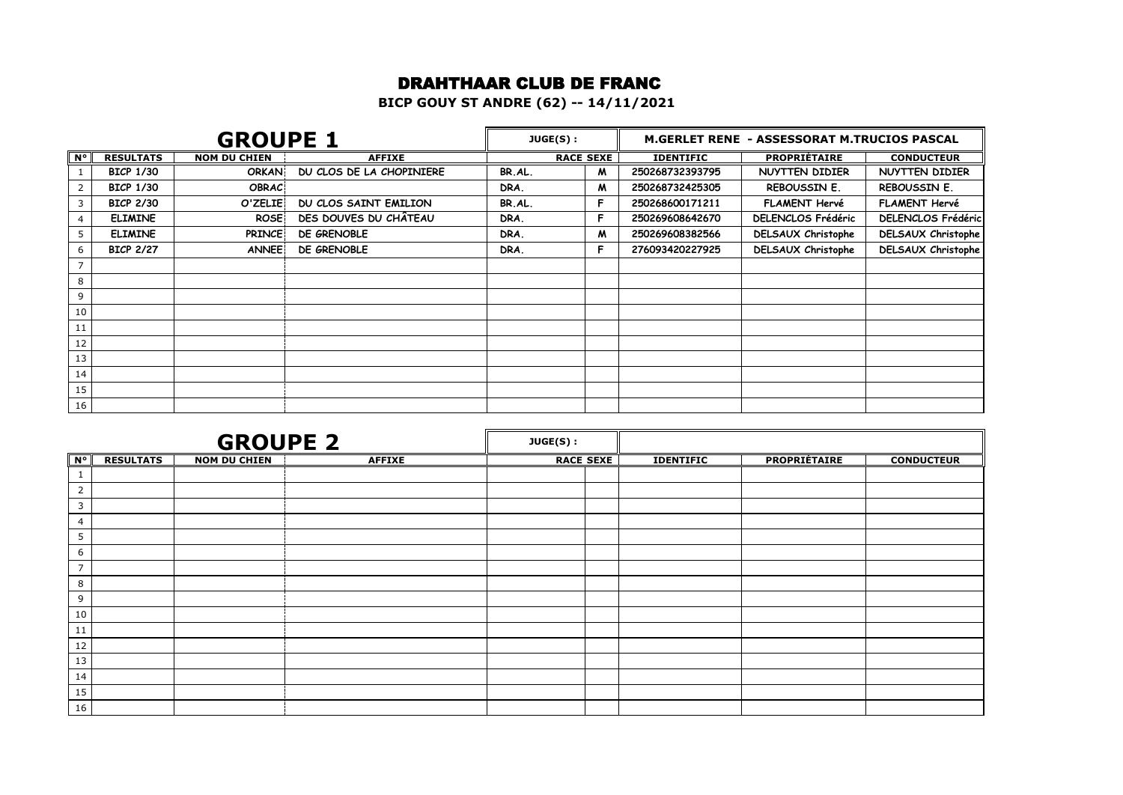## DRAHTHAAR CLUB DE FRANC

**BICP GOUY ST ANDRE (62) -- 14/11/2021**

|                               | <b>GROUPE 1</b>  |                     |                          |        | JUGE(S):         |                  |                           | <b>M.GERLET RENE - ASSESSORAT M.TRUCIOS PASCAL</b> |  |
|-------------------------------|------------------|---------------------|--------------------------|--------|------------------|------------------|---------------------------|----------------------------------------------------|--|
| $\overline{\mathsf{N}^\circ}$ | <b>RESULTATS</b> | <b>NOM DU CHIEN</b> | <b>AFFIXE</b>            |        | <b>RACE SEXE</b> | <b>IDENTIFIC</b> | <b>PROPRIÉTAIRE</b>       | <b>CONDUCTEUR</b>                                  |  |
|                               | <b>BICP 1/30</b> | <b>ORKAN</b>        | DU CLOS DE LA CHOPINIERE | BR.AL. | M                | 250268732393795  | NUYTTEN DIDIER            | NUYTTEN DIDIER                                     |  |
| 2                             | <b>BICP 1/30</b> | <b>OBRAC</b>        |                          | DRA.   | M                | 250268732425305  | <b>REBOUSSIN E.</b>       | <b>REBOUSSIN E.</b>                                |  |
| 3                             | <b>BICP 2/30</b> | O'ZELIE             | DU CLOS SAINT EMILION    | BR.AL. | F                | 250268600171211  | <b>FLAMENT Hervé</b>      | <b>FLAMENT Hervé</b>                               |  |
| $\overline{4}$                | <b>ELIMINE</b>   | <b>ROSE</b>         | DES DOUVES DU CHÂTEAU    | DRA.   | F                | 250269608642670  | <b>DELENCLOS Frédéric</b> | <b>DELENCLOS Frédéric</b>                          |  |
| 5                             | <b>ELIMINE</b>   | <b>PRINCE!</b>      | DE GRENOBLE              | DRA.   | M                | 250269608382566  | DELSAUX Christophe        | DELSAUX Christophe                                 |  |
| 6                             | <b>BICP 2/27</b> | <b>ANNEE</b>        | DE GRENOBLE              | DRA.   | F                | 276093420227925  | DELSAUX Christophe        | DELSAUX Christophe                                 |  |
|                               |                  |                     |                          |        |                  |                  |                           |                                                    |  |
| 8                             |                  |                     |                          |        |                  |                  |                           |                                                    |  |
| 9                             |                  |                     |                          |        |                  |                  |                           |                                                    |  |
| 10                            |                  |                     |                          |        |                  |                  |                           |                                                    |  |
| 11                            |                  |                     |                          |        |                  |                  |                           |                                                    |  |
| 12                            |                  |                     |                          |        |                  |                  |                           |                                                    |  |
| 13                            |                  |                     |                          |        |                  |                  |                           |                                                    |  |
| 14                            |                  |                     |                          |        |                  |                  |                           |                                                    |  |
| 15                            |                  |                     |                          |        |                  |                  |                           |                                                    |  |
| 16                            |                  |                     |                          |        |                  |                  |                           |                                                    |  |

|                         |                  | JUGE(S):            |               |                  |  |                  |                     |                   |
|-------------------------|------------------|---------------------|---------------|------------------|--|------------------|---------------------|-------------------|
| $\overline{\mathbf{S}}$ | <b>RESULTATS</b> | <b>NOM DU CHIEN</b> | <b>AFFIXE</b> | <b>RACE SEXE</b> |  | <b>IDENTIFIC</b> | <b>PROPRIÉTAIRE</b> | <b>CONDUCTEUR</b> |
| 1                       |                  |                     |               |                  |  |                  |                     |                   |
| $\overline{2}$          |                  |                     |               |                  |  |                  |                     |                   |
| 3                       |                  |                     |               |                  |  |                  |                     |                   |
| 4                       |                  |                     |               |                  |  |                  |                     |                   |
| 5                       |                  |                     |               |                  |  |                  |                     |                   |
| 6                       |                  |                     |               |                  |  |                  |                     |                   |
| $\overline{7}$          |                  |                     |               |                  |  |                  |                     |                   |
| 8                       |                  |                     |               |                  |  |                  |                     |                   |
| 9                       |                  |                     |               |                  |  |                  |                     |                   |
| 10                      |                  |                     |               |                  |  |                  |                     |                   |
| 11                      |                  |                     |               |                  |  |                  |                     |                   |
| 12                      |                  |                     |               |                  |  |                  |                     |                   |
| 13                      |                  |                     |               |                  |  |                  |                     |                   |
| 14                      |                  |                     |               |                  |  |                  |                     |                   |
| 15                      |                  |                     |               |                  |  |                  |                     |                   |
| 16                      |                  |                     |               |                  |  |                  |                     |                   |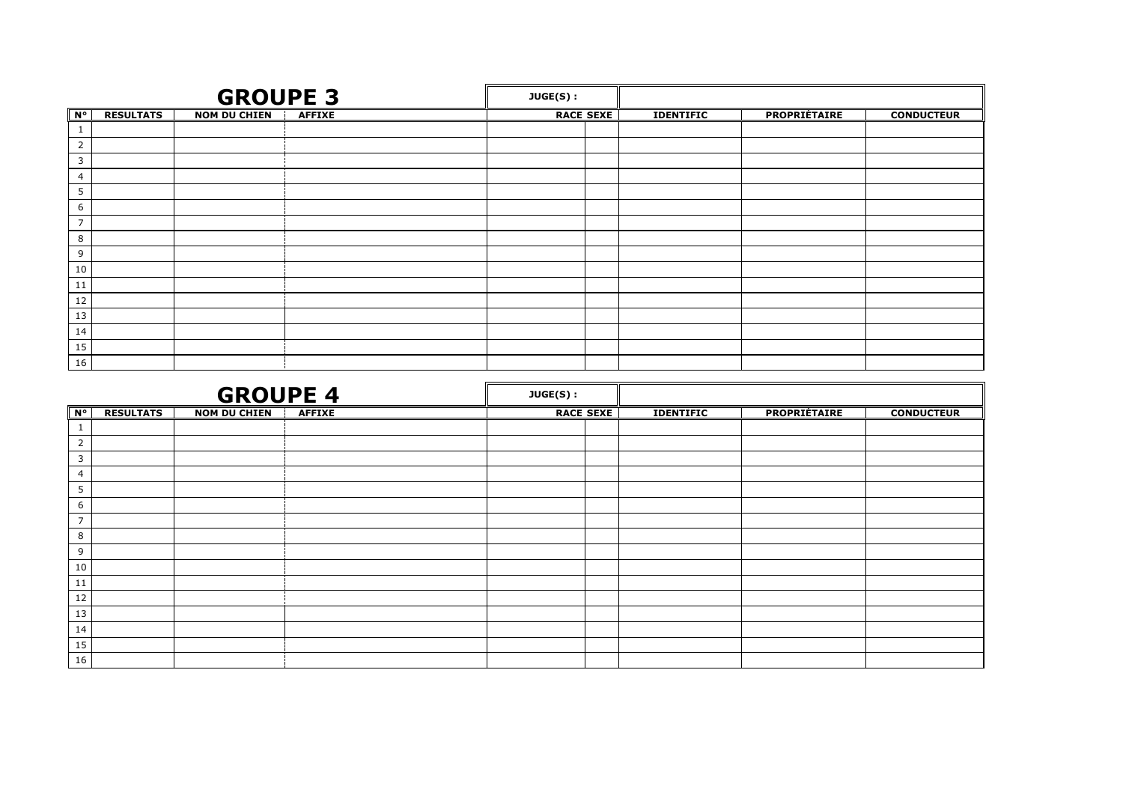|                | <b>GROUPE 3</b>  |                     |               | JUGE(S): |                  |                  |              |                   |
|----------------|------------------|---------------------|---------------|----------|------------------|------------------|--------------|-------------------|
| <b>N°</b>      | <b>RESULTATS</b> | <b>NOM DU CHIEN</b> | <b>AFFIXE</b> |          | <b>RACE SEXE</b> | <b>IDENTIFIC</b> | PROPRIÉTAIRE | <b>CONDUCTEUR</b> |
| $\perp$        |                  |                     |               |          |                  |                  |              |                   |
| $\overline{2}$ |                  |                     |               |          |                  |                  |              |                   |
| 3              |                  |                     |               |          |                  |                  |              |                   |
| 4              |                  |                     |               |          |                  |                  |              |                   |
| 5              |                  |                     |               |          |                  |                  |              |                   |
| 6              |                  |                     |               |          |                  |                  |              |                   |
| $\overline{7}$ |                  |                     |               |          |                  |                  |              |                   |
| 8              |                  |                     |               |          |                  |                  |              |                   |
| 9              |                  |                     |               |          |                  |                  |              |                   |
| 10             |                  |                     |               |          |                  |                  |              |                   |
| 11             |                  |                     |               |          |                  |                  |              |                   |
| 12             |                  |                     |               |          |                  |                  |              |                   |
| 13             |                  |                     |               |          |                  |                  |              |                   |
| 14             |                  |                     |               |          |                  |                  |              |                   |
| 15             |                  |                     |               |          |                  |                  |              |                   |
| 16             |                  |                     |               |          |                  |                  |              |                   |

|                | <b>GROUPE 4</b>  |                     |               | JUGE(S): |                  |                  |                     |                   |
|----------------|------------------|---------------------|---------------|----------|------------------|------------------|---------------------|-------------------|
| $N^{\circ}$    | <b>RESULTATS</b> | <b>NOM DU CHIEN</b> | <b>AFFIXE</b> |          | <b>RACE SEXE</b> | <b>IDENTIFIC</b> | <b>PROPRIÉTAIRE</b> | <b>CONDUCTEUR</b> |
| $\perp$        |                  |                     |               |          |                  |                  |                     |                   |
| $\overline{2}$ |                  |                     |               |          |                  |                  |                     |                   |
| 3              |                  |                     |               |          |                  |                  |                     |                   |
| $\overline{4}$ |                  |                     |               |          |                  |                  |                     |                   |
| 5              |                  |                     |               |          |                  |                  |                     |                   |
| 6              |                  |                     |               |          |                  |                  |                     |                   |
| $\overline{7}$ |                  |                     |               |          |                  |                  |                     |                   |
| 8              |                  |                     |               |          |                  |                  |                     |                   |
| 9              |                  |                     |               |          |                  |                  |                     |                   |
| 10             |                  |                     |               |          |                  |                  |                     |                   |
| $11\,$         |                  |                     |               |          |                  |                  |                     |                   |
| 12             |                  |                     |               |          |                  |                  |                     |                   |
| 13             |                  |                     |               |          |                  |                  |                     |                   |
| 14             |                  |                     |               |          |                  |                  |                     |                   |
| 15             |                  |                     |               |          |                  |                  |                     |                   |
| 16             |                  |                     |               |          |                  |                  |                     |                   |